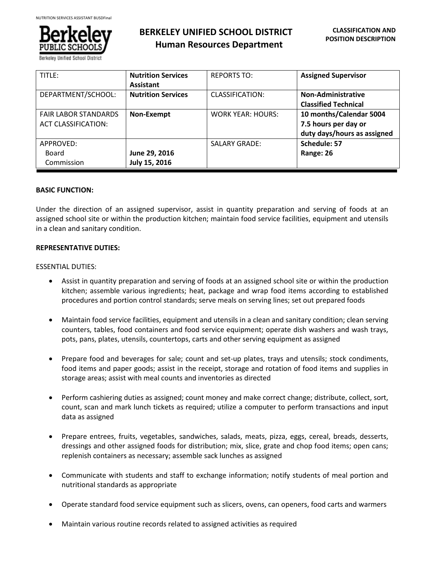

**BERKELEY UNIFIED SCHOOL DISTRICT Human Resources Department**

| TITLE:                      | <b>Nutrition Services</b> | <b>REPORTS TO:</b>       | <b>Assigned Supervisor</b>  |
|-----------------------------|---------------------------|--------------------------|-----------------------------|
|                             | Assistant                 |                          |                             |
| DEPARTMENT/SCHOOL:          | <b>Nutrition Services</b> | CLASSIFICATION:          | <b>Non-Administrative</b>   |
|                             |                           |                          | <b>Classified Technical</b> |
| <b>FAIR LABOR STANDARDS</b> | Non-Exempt                | <b>WORK YEAR: HOURS:</b> | 10 months/Calendar 5004     |
| <b>ACT CLASSIFICATION:</b>  |                           |                          | 7.5 hours per day or        |
|                             |                           |                          | duty days/hours as assigned |
| APPROVED:                   |                           | <b>SALARY GRADE:</b>     | Schedule: 57                |
| Board                       | June 29, 2016             |                          | Range: 26                   |
| Commission                  | July 15, 2016             |                          |                             |

## **BASIC FUNCTION:**

Under the direction of an assigned supervisor, assist in quantity preparation and serving of foods at an assigned school site or within the production kitchen; maintain food service facilities, equipment and utensils in a clean and sanitary condition.

## **REPRESENTATIVE DUTIES:**

## ESSENTIAL DUTIES:

- Assist in quantity preparation and serving of foods at an assigned school site or within the production kitchen; assemble various ingredients; heat, package and wrap food items according to established procedures and portion control standards; serve meals on serving lines; set out prepared foods
- Maintain food service facilities, equipment and utensils in a clean and sanitary condition; clean serving counters, tables, food containers and food service equipment; operate dish washers and wash trays, pots, pans, plates, utensils, countertops, carts and other serving equipment as assigned
- Prepare food and beverages for sale; count and set-up plates, trays and utensils; stock condiments, food items and paper goods; assist in the receipt, storage and rotation of food items and supplies in storage areas; assist with meal counts and inventories as directed
- Perform cashiering duties as assigned; count money and make correct change; distribute, collect, sort, count, scan and mark lunch tickets as required; utilize a computer to perform transactions and input data as assigned
- Prepare entrees, fruits, vegetables, sandwiches, salads, meats, pizza, eggs, cereal, breads, desserts, dressings and other assigned foods for distribution; mix, slice, grate and chop food items; open cans; replenish containers as necessary; assemble sack lunches as assigned
- Communicate with students and staff to exchange information; notify students of meal portion and nutritional standards as appropriate
- Operate standard food service equipment such as slicers, ovens, can openers, food carts and warmers
- Maintain various routine records related to assigned activities as required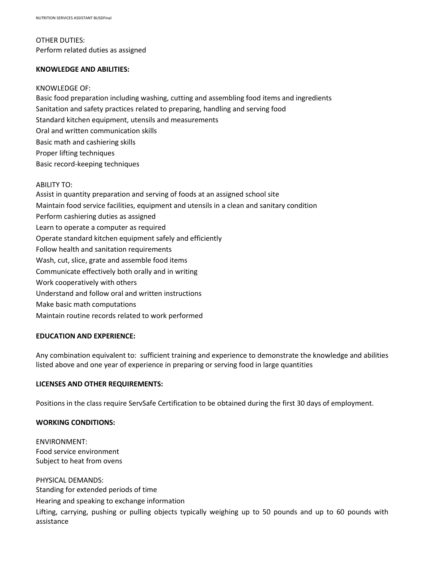# OTHER DUTIES: Perform related duties as assigned

## **KNOWLEDGE AND ABILITIES:**

## KNOWLEDGE OF:

Basic food preparation including washing, cutting and assembling food items and ingredients Sanitation and safety practices related to preparing, handling and serving food Standard kitchen equipment, utensils and measurements Oral and written communication skills Basic math and cashiering skills Proper lifting techniques Basic record-keeping techniques

#### ABILITY TO:

Assist in quantity preparation and serving of foods at an assigned school site Maintain food service facilities, equipment and utensils in a clean and sanitary condition Perform cashiering duties as assigned Learn to operate a computer as required Operate standard kitchen equipment safely and efficiently Follow health and sanitation requirements Wash, cut, slice, grate and assemble food items Communicate effectively both orally and in writing Work cooperatively with others Understand and follow oral and written instructions Make basic math computations Maintain routine records related to work performed

## **EDUCATION AND EXPERIENCE:**

Any combination equivalent to: sufficient training and experience to demonstrate the knowledge and abilities listed above and one year of experience in preparing or serving food in large quantities

## **LICENSES AND OTHER REQUIREMENTS:**

Positions in the class require ServSafe Certification to be obtained during the first 30 days of employment.

#### **WORKING CONDITIONS:**

ENVIRONMENT: Food service environment Subject to heat from ovens

PHYSICAL DEMANDS: Standing for extended periods of time Hearing and speaking to exchange information Lifting, carrying, pushing or pulling objects typically weighing up to 50 pounds and up to 60 pounds with assistance